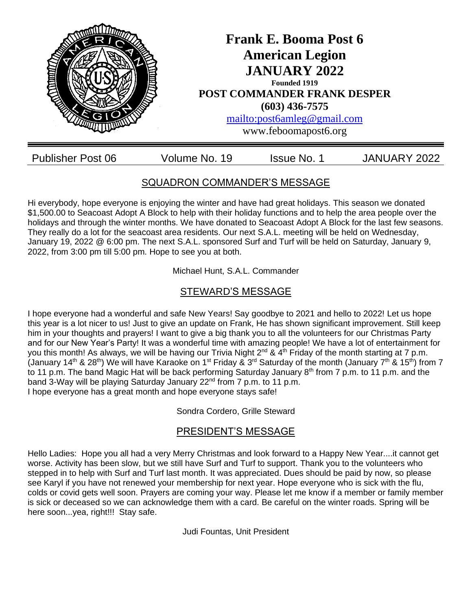

## SQUADRON COMMANDER'S MESSAGE

Hi everybody, hope everyone is enjoying the winter and have had great holidays. This season we donated \$1,500.00 to Seacoast Adopt A Block to help with their holiday functions and to help the area people over the holidays and through the winter months. We have donated to Seacoast Adopt A Block for the last few seasons. They really do a lot for the seacoast area residents. Our next S.A.L. meeting will be held on Wednesday, January 19, 2022 @ 6:00 pm. The next S.A.L. sponsored Surf and Turf will be held on Saturday, January 9, 2022, from 3:00 pm till 5:00 pm. Hope to see you at both.

Michael Hunt, S.A.L. Commander

## STEWARD'S MESSAGE

I hope everyone had a wonderful and safe New Years! Say goodbye to 2021 and hello to 2022! Let us hope this year is a lot nicer to us! Just to give an update on Frank, He has shown significant improvement. Still keep him in your thoughts and prayers! I want to give a big thank you to all the volunteers for our Christmas Party and for our New Year's Party! It was a wonderful time with amazing people! We have a lot of entertainment for you this month! As always, we will be having our Trivia Night  $2^{nd}$  &  $4^{th}$  Friday of the month starting at 7 p.m. (January 14<sup>th</sup> & 28<sup>th</sup>) We will have Karaoke on 1<sup>st</sup> Friday & 3<sup>rd</sup> Saturday of the month (January 7<sup>th</sup> & 15<sup>th</sup>) from 7 to 11 p.m. The band Magic Hat will be back performing Saturday January 8<sup>th</sup> from 7 p.m. to 11 p.m. and the band 3-Way will be playing Saturday January 22<sup>nd</sup> from 7 p.m. to 11 p.m. I hope everyone has a great month and hope everyone stays safe!

### Sondra Cordero, Grille Steward

### PRESIDENT'S MESSAGE

Hello Ladies: Hope you all had a very Merry Christmas and look forward to a Happy New Year....it cannot get worse. Activity has been slow, but we still have Surf and Turf to support. Thank you to the volunteers who stepped in to help with Surf and Turf last month. It was appreciated. Dues should be paid by now, so please see Karyl if you have not renewed your membership for next year. Hope everyone who is sick with the flu, colds or covid gets well soon. Prayers are coming your way. Please let me know if a member or family member is sick or deceased so we can acknowledge them with a card. Be careful on the winter roads. Spring will be here soon...yea, right!!! Stay safe.

Judi Fountas, Unit President